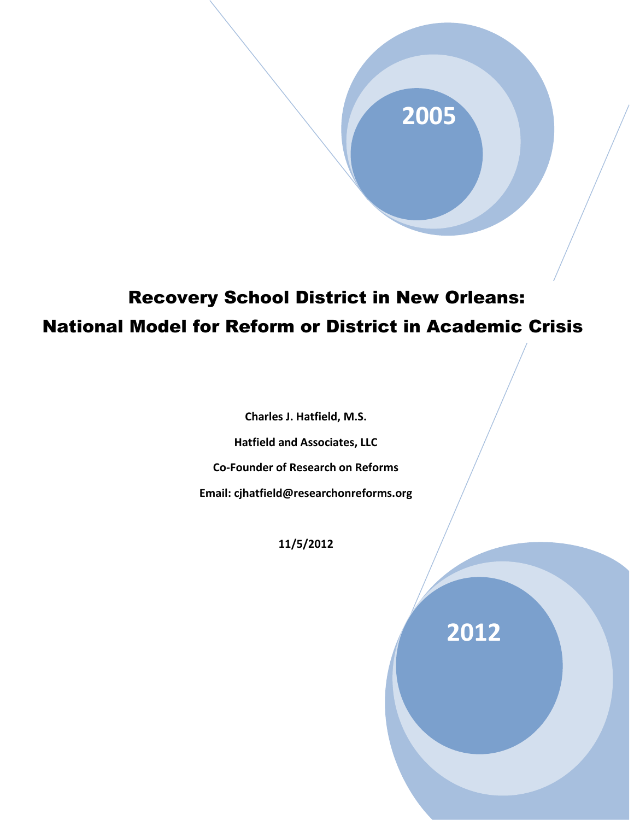# **2005**

## Recovery School District in New Orleans: National Model for Reform or District in Academic Crisis

**Charles J. Hatfield, M.S.**

**Hatfield and Associates, LLC**

**Co-Founder of Research on Reforms** 

**Email: cjhatfield@researchonreforms.org** 

**11/5/2012**

**2012**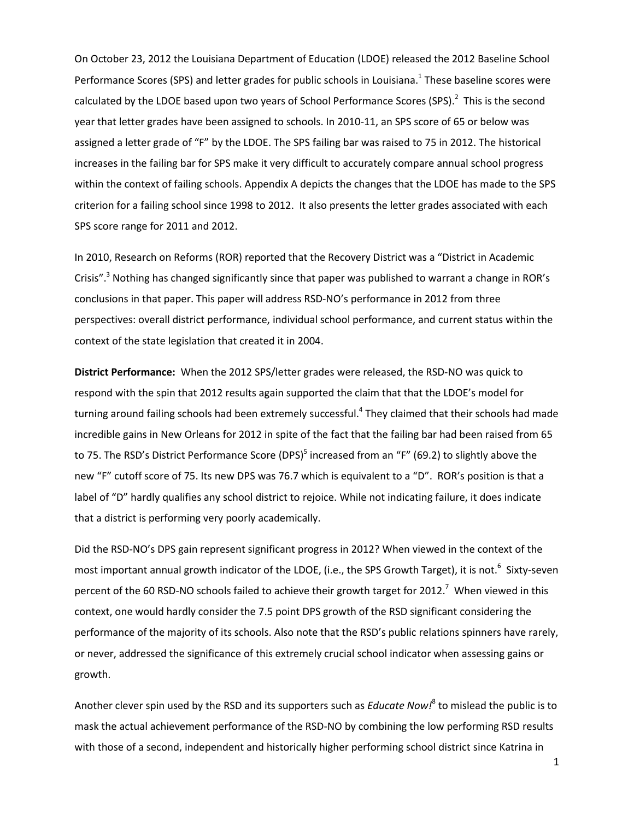On October 23, 2012 the Louisiana Department of Education (LDOE) released the 2012 Baseline School Performance Scores (SPS) and letter grades for public schools in Louisiana.<sup>1</sup> These baseline scores were calculated by the LDOE based upon two years of School Performance Scores (SPS).<sup>2</sup> This is the second year that letter grades have been assigned to schools. In 2010-11, an SPS score of 65 or below was assigned a letter grade of "F" by the LDOE. The SPS failing bar was raised to 75 in 2012. The historical increases in the failing bar for SPS make it very difficult to accurately compare annual school progress within the context of failing schools. Appendix A depicts the changes that the LDOE has made to the SPS criterion for a failing school since 1998 to 2012. It also presents the letter grades associated with each SPS score range for 2011 and 2012.

In 2010, Research on Reforms (ROR) reported that the Recovery District was a "District in Academic Crisis".<sup>3</sup> Nothing has changed significantly since that paper was published to warrant a change in ROR's conclusions in that paper. This paper will address RSD-NO's performance in 2012 from three perspectives: overall district performance, individual school performance, and current status within the context of the state legislation that created it in 2004.

**District Performance:** When the 2012 SPS/letter grades were released, the RSD-NO was quick to respond with the spin that 2012 results again supported the claim that that the LDOE's model for turning around failing schools had been extremely successful.<sup>4</sup> They claimed that their schools had made incredible gains in New Orleans for 2012 in spite of the fact that the failing bar had been raised from 65 to 75. The RSD's District Performance Score (DPS)<sup>5</sup> increased from an "F" (69.2) to slightly above the new "F" cutoff score of 75. Its new DPS was 76.7 which is equivalent to a "D". ROR's position is that a label of "D" hardly qualifies any school district to rejoice. While not indicating failure, it does indicate that a district is performing very poorly academically.

Did the RSD-NO's DPS gain represent significant progress in 2012? When viewed in the context of the most important annual growth indicator of the LDOE, (i.e., the SPS Growth Target), it is not.<sup>6</sup> Sixty-seven percent of the 60 RSD-NO schools failed to achieve their growth target for 2012.<sup>7</sup> When viewed in this context, one would hardly consider the 7.5 point DPS growth of the RSD significant considering the performance of the majority of its schools. Also note that the RSD's public relations spinners have rarely, or never, addressed the significance of this extremely crucial school indicator when assessing gains or growth.

Another clever spin used by the RSD and its supporters such as *Educate Now!*<sup>8</sup> to mislead the public is to mask the actual achievement performance of the RSD-NO by combining the low performing RSD results with those of a second, independent and historically higher performing school district since Katrina in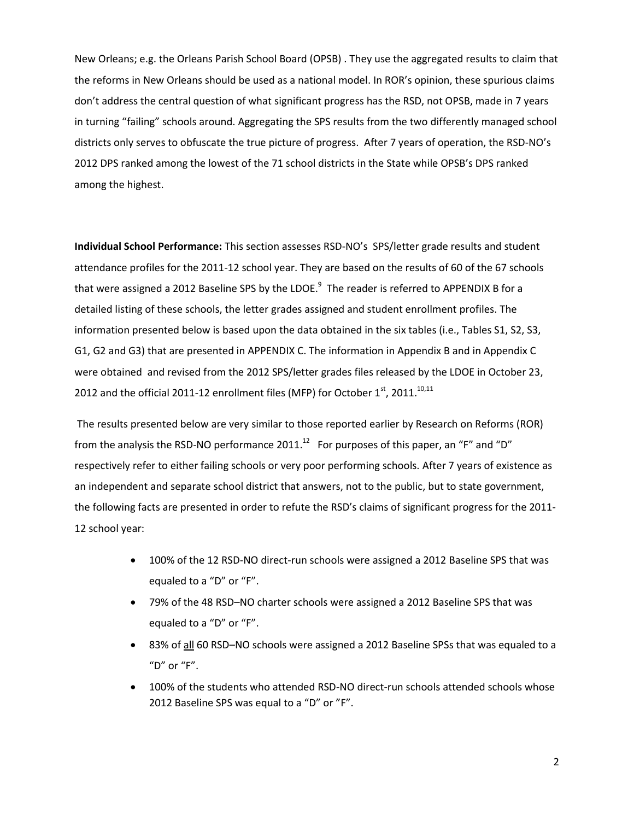New Orleans; e.g. the Orleans Parish School Board (OPSB) . They use the aggregated results to claim that the reforms in New Orleans should be used as a national model. In ROR's opinion, these spurious claims don't address the central question of what significant progress has the RSD, not OPSB, made in 7 years in turning "failing" schools around. Aggregating the SPS results from the two differently managed school districts only serves to obfuscate the true picture of progress. After 7 years of operation, the RSD-NO's 2012 DPS ranked among the lowest of the 71 school districts in the State while OPSB's DPS ranked among the highest.

**Individual School Performance:** This section assesses RSD-NO's SPS/letter grade results and student attendance profiles for the 2011-12 school year. They are based on the results of 60 of the 67 schools that were assigned a 2012 Baseline SPS by the LDOE.<sup>9</sup> The reader is referred to APPENDIX B for a detailed listing of these schools, the letter grades assigned and student enrollment profiles. The information presented below is based upon the data obtained in the six tables (i.e., Tables S1, S2, S3, G1, G2 and G3) that are presented in APPENDIX C. The information in Appendix B and in Appendix C were obtained and revised from the 2012 SPS/letter grades files released by the LDOE in October 23, 2012 and the official 2011-12 enrollment files (MFP) for October 1<sup>st</sup>, 2011.<sup>10,11</sup>

The results presented below are very similar to those reported earlier by Research on Reforms (ROR) from the analysis the RSD-NO performance 2011.<sup>12</sup> For purposes of this paper, an "F" and "D" respectively refer to either failing schools or very poor performing schools. After 7 years of existence as an independent and separate school district that answers, not to the public, but to state government, the following facts are presented in order to refute the RSD's claims of significant progress for the 2011- 12 school year:

- 100% of the 12 RSD-NO direct-run schools were assigned a 2012 Baseline SPS that was equaled to a "D" or "F".
- 79% of the 48 RSD–NO charter schools were assigned a 2012 Baseline SPS that was equaled to a "D" or "F".
- 83% of all 60 RSD–NO schools were assigned a 2012 Baseline SPSs that was equaled to a "D" or "F".
- 100% of the students who attended RSD-NO direct-run schools attended schools whose 2012 Baseline SPS was equal to a "D" or "F".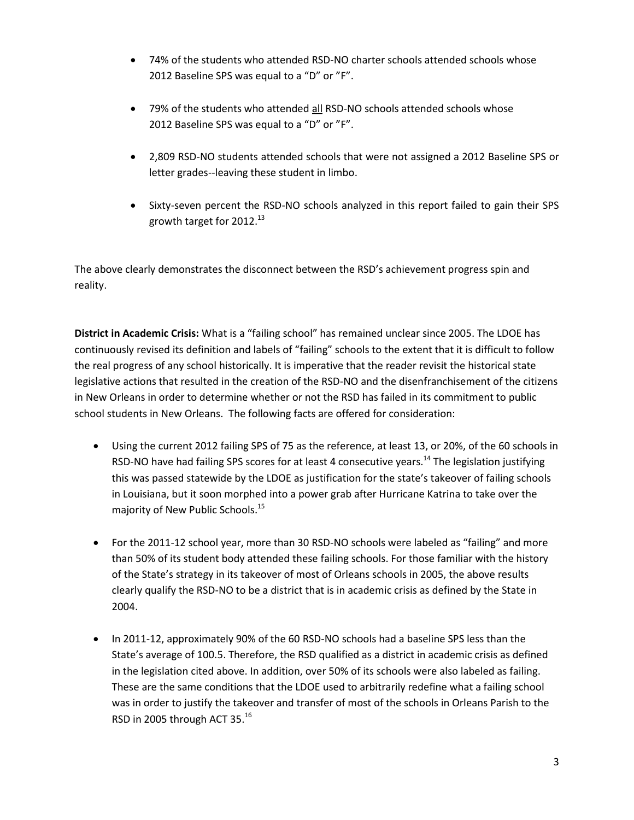- 74% of the students who attended RSD-NO charter schools attended schools whose 2012 Baseline SPS was equal to a "D" or "F".
- 79% of the students who attended all RSD-NO schools attended schools whose 2012 Baseline SPS was equal to a "D" or "F".
- 2,809 RSD-NO students attended schools that were not assigned a 2012 Baseline SPS or letter grades--leaving these student in limbo.
- Sixty-seven percent the RSD-NO schools analyzed in this report failed to gain their SPS growth target for 2012. $^{13}$

The above clearly demonstrates the disconnect between the RSD's achievement progress spin and reality.

**District in Academic Crisis:** What is a "failing school" has remained unclear since 2005. The LDOE has continuously revised its definition and labels of "failing" schools to the extent that it is difficult to follow the real progress of any school historically. It is imperative that the reader revisit the historical state legislative actions that resulted in the creation of the RSD-NO and the disenfranchisement of the citizens in New Orleans in order to determine whether or not the RSD has failed in its commitment to public school students in New Orleans. The following facts are offered for consideration:

- Using the current 2012 failing SPS of 75 as the reference, at least 13, or 20%, of the 60 schools in RSD-NO have had failing SPS scores for at least 4 consecutive years.<sup>14</sup> The legislation justifying this was passed statewide by the LDOE as justification for the state's takeover of failing schools in Louisiana, but it soon morphed into a power grab after Hurricane Katrina to take over the majority of New Public Schools. 15
- For the 2011-12 school year, more than 30 RSD-NO schools were labeled as "failing" and more than 50% of its student body attended these failing schools. For those familiar with the history of the State's strategy in its takeover of most of Orleans schools in 2005, the above results clearly qualify the RSD-NO to be a district that is in academic crisis as defined by the State in 2004.
- In 2011-12, approximately 90% of the 60 RSD-NO schools had a baseline SPS less than the State's average of 100.5. Therefore, the RSD qualified as a district in academic crisis as defined in the legislation cited above. In addition, over 50% of its schools were also labeled as failing. These are the same conditions that the LDOE used to arbitrarily redefine what a failing school was in order to justify the takeover and transfer of most of the schools in Orleans Parish to the RSD in 2005 through ACT 35. $^{16}$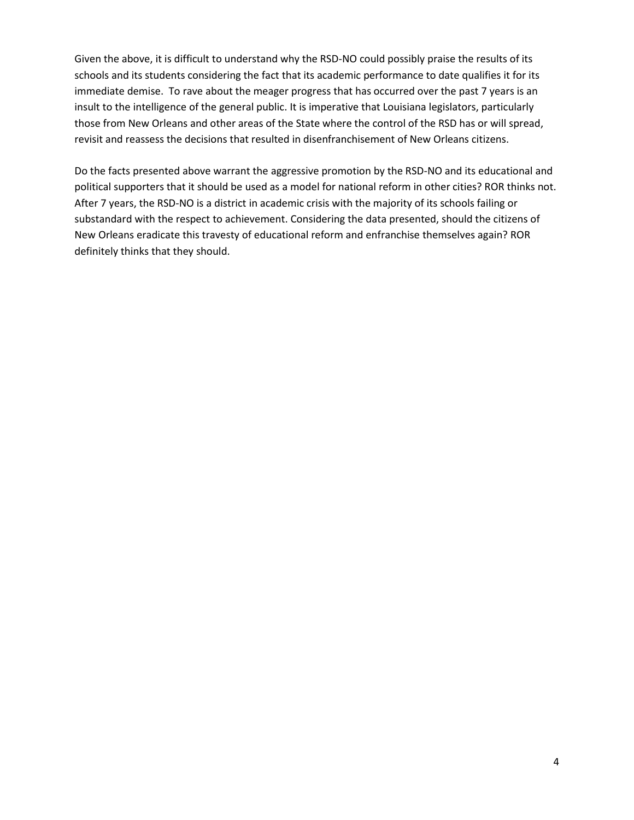Given the above, it is difficult to understand why the RSD-NO could possibly praise the results of its schools and its students considering the fact that its academic performance to date qualifies it for its immediate demise. To rave about the meager progress that has occurred over the past 7 years is an insult to the intelligence of the general public. It is imperative that Louisiana legislators, particularly those from New Orleans and other areas of the State where the control of the RSD has or will spread, revisit and reassess the decisions that resulted in disenfranchisement of New Orleans citizens.

Do the facts presented above warrant the aggressive promotion by the RSD-NO and its educational and political supporters that it should be used as a model for national reform in other cities? ROR thinks not. After 7 years, the RSD-NO is a district in academic crisis with the majority of its schools failing or substandard with the respect to achievement. Considering the data presented, should the citizens of New Orleans eradicate this travesty of educational reform and enfranchise themselves again? ROR definitely thinks that they should.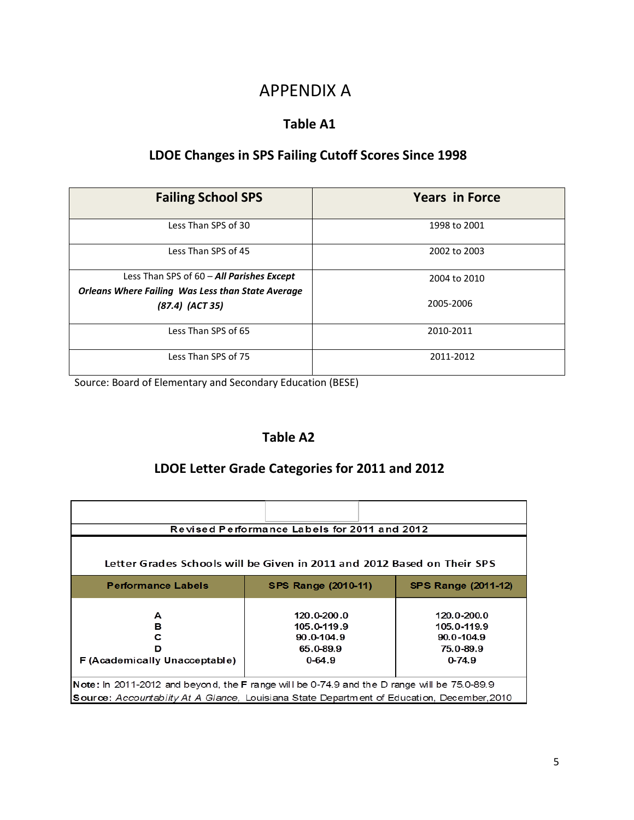## APPENDIX A

#### **Table A1**

### **LDOE Changes in SPS Failing Cutoff Scores Since 1998**

| <b>Failing School SPS</b>                                                                             | <b>Years in Force</b> |
|-------------------------------------------------------------------------------------------------------|-----------------------|
| Less Than SPS of 30                                                                                   | 1998 to 2001          |
| Less Than SPS of 45                                                                                   | 2002 to 2003          |
| Less Than SPS of 60 - All Parishes Except<br><b>Orleans Where Failing Was Less than State Average</b> | 2004 to 2010          |
| $(87.4)$ $(ACT 35)$                                                                                   | 2005-2006             |
| Less Than SPS of 65                                                                                   | 2010-2011             |
| Less Than SPS of 75                                                                                   | 2011-2012             |

Source: Board of Elementary and Secondary Education (BESE)

### **Table A2**

### **LDOE Letter Grade Categories for 2011 and 2012**

| Revised Performance Labels for 2011 and 2012                                                                                                                                                 |                                                                         |                                                                         |  |  |  |
|----------------------------------------------------------------------------------------------------------------------------------------------------------------------------------------------|-------------------------------------------------------------------------|-------------------------------------------------------------------------|--|--|--|
| Letter Grades Schools will be Given in 2011 and 2012 Based on Their SPS                                                                                                                      |                                                                         |                                                                         |  |  |  |
| <b>Performance Labels</b>                                                                                                                                                                    | <b>SPS Range (2010-11)</b>                                              | <b>SPS Range (2011-12)</b>                                              |  |  |  |
| А<br>в<br>с<br>ח<br>F (Academically Unacceptable)                                                                                                                                            | $120.0 - 200.0$<br>105.0-119.9<br>90.0-104.9<br>65.0-89.9<br>$0 - 64.9$ | 120.0-200.0<br>105.0-119.9<br>$90.0 - 104.9$<br>75.0-89.9<br>$0 - 74.9$ |  |  |  |
| Note: In 2011-2012 and beyond, the F range will be 0-74.9 and the D range will be $75.0$ -89.9<br>Source: Accountabiity At A Glance, Louisiana State Department of Education, December, 2010 |                                                                         |                                                                         |  |  |  |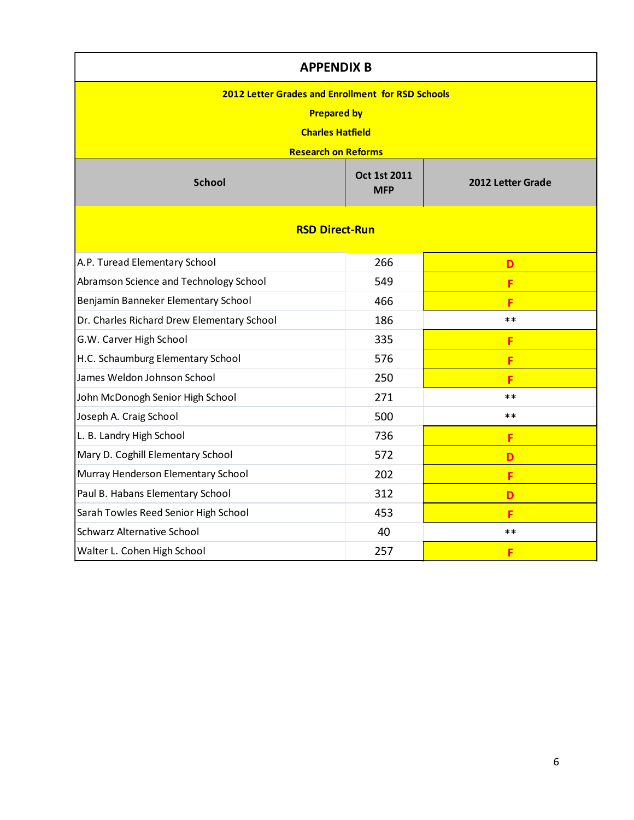| <b>APPENDIX B</b>                                                                                                                       |                            |                   |  |  |  |
|-----------------------------------------------------------------------------------------------------------------------------------------|----------------------------|-------------------|--|--|--|
| <b>2012 Letter Grades and Enrollment for RSD Schools</b><br><b>Prepared by</b><br><b>Charles Hatfield</b><br><b>Research on Reforms</b> |                            |                   |  |  |  |
| <b>School</b>                                                                                                                           | Oct 1st 2011<br><b>MFP</b> | 2012 Letter Grade |  |  |  |
| <b>RSD Direct-Run</b>                                                                                                                   |                            |                   |  |  |  |
| A.P. Turead Elementary School                                                                                                           | 266                        | D                 |  |  |  |
| Abramson Science and Technology School                                                                                                  | 549                        | F                 |  |  |  |
| Benjamin Banneker Elementary School                                                                                                     | 466                        | F                 |  |  |  |
| Dr. Charles Richard Drew Elementary School                                                                                              | 186                        | $**$              |  |  |  |
| G.W. Carver High School                                                                                                                 | 335                        | F                 |  |  |  |
| H.C. Schaumburg Elementary School                                                                                                       | 576                        | F                 |  |  |  |
| James Weldon Johnson School                                                                                                             | 250                        | F                 |  |  |  |
| John McDonogh Senior High School                                                                                                        | 271                        | $**$              |  |  |  |
| Joseph A. Craig School                                                                                                                  | 500                        | $***$             |  |  |  |
| L. B. Landry High School                                                                                                                | 736                        | F                 |  |  |  |
| Mary D. Coghill Elementary School                                                                                                       | 572                        | D                 |  |  |  |
| Murray Henderson Elementary School                                                                                                      | 202                        | F                 |  |  |  |
| Paul B. Habans Elementary School                                                                                                        | 312                        | D                 |  |  |  |
| Sarah Towles Reed Senior High School                                                                                                    | 453                        | F                 |  |  |  |
| <b>Schwarz Alternative School</b>                                                                                                       | 40                         | $**$              |  |  |  |
| Walter L. Cohen High School                                                                                                             | 257                        | F                 |  |  |  |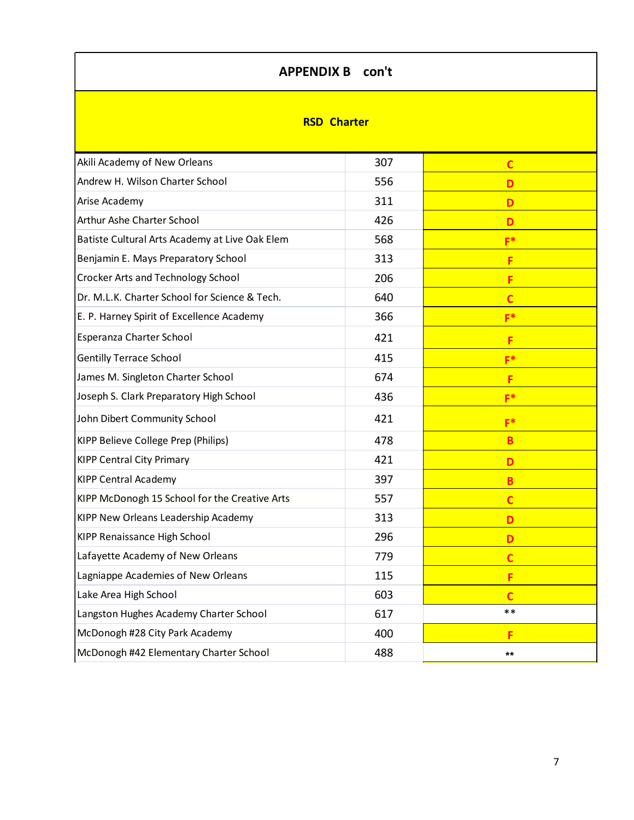### **APPENDIX B con't**

#### **RSD Charter**

| Akili Academy of New Orleans                   | 307 | $\mathbf c$    |
|------------------------------------------------|-----|----------------|
| Andrew H. Wilson Charter School                | 556 | D              |
| Arise Academy                                  | 311 | D              |
| Arthur Ashe Charter School                     | 426 | D              |
| Batiste Cultural Arts Academy at Live Oak Elem | 568 | $F^*$          |
| Benjamin E. Mays Preparatory School            | 313 | F              |
| Crocker Arts and Technology School             | 206 | F              |
| Dr. M.L.K. Charter School for Science & Tech.  | 640 | $\overline{c}$ |
| E. P. Harney Spirit of Excellence Academy      | 366 | $F^*$          |
| Esperanza Charter School                       | 421 | F              |
| <b>Gentilly Terrace School</b>                 | 415 | $F^*$          |
| James M. Singleton Charter School              | 674 | F              |
| Joseph S. Clark Preparatory High School        | 436 | $F^*$          |
| John Dibert Community School                   | 421 | $F^*$          |
| KIPP Believe College Prep (Philips)            | 478 | B              |
| <b>KIPP Central City Primary</b>               | 421 | D              |
| <b>KIPP Central Academy</b>                    | 397 | B              |
| KIPP McDonogh 15 School for the Creative Arts  | 557 | $\overline{c}$ |
| KIPP New Orleans Leadership Academy            | 313 | D              |
| KIPP Renaissance High School                   | 296 | D              |
| Lafayette Academy of New Orleans               | 779 | $\overline{c}$ |
| Lagniappe Academies of New Orleans             | 115 | F              |
| Lake Area High School                          | 603 | $\mathbf c$    |
| Langston Hughes Academy Charter School         | 617 | $***$          |
| McDonogh #28 City Park Academy                 | 400 | F              |
| McDonogh #42 Elementary Charter School         | 488 | $***$          |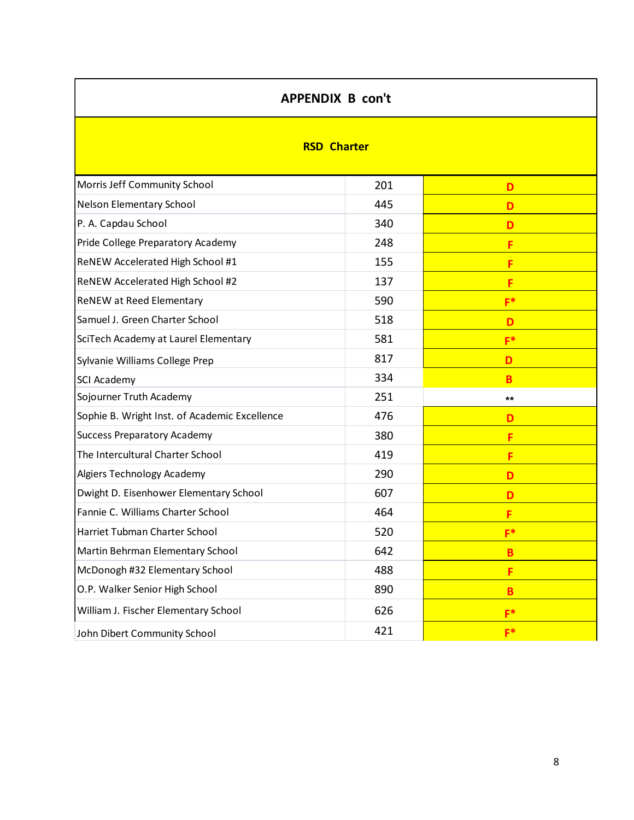| <b>APPENDIX B con't</b>                       |     |              |  |  |  |  |
|-----------------------------------------------|-----|--------------|--|--|--|--|
| <b>RSD Charter</b>                            |     |              |  |  |  |  |
| Morris Jeff Community School                  | 201 | D            |  |  |  |  |
| Nelson Elementary School                      | 445 | D            |  |  |  |  |
| P. A. Capdau School                           | 340 | D            |  |  |  |  |
| Pride College Preparatory Academy             | 248 | F            |  |  |  |  |
| ReNEW Accelerated High School #1              | 155 | F            |  |  |  |  |
| ReNEW Accelerated High School #2              | 137 | F            |  |  |  |  |
| ReNEW at Reed Elementary                      | 590 | $F^*$        |  |  |  |  |
| Samuel J. Green Charter School                | 518 | D            |  |  |  |  |
| SciTech Academy at Laurel Elementary          | 581 | $F^*$        |  |  |  |  |
| Sylvanie Williams College Prep                | 817 | D            |  |  |  |  |
| SCI Academy                                   | 334 | B            |  |  |  |  |
| Sojourner Truth Academy                       | 251 | $\star\star$ |  |  |  |  |
| Sophie B. Wright Inst. of Academic Excellence | 476 | D            |  |  |  |  |
| <b>Success Preparatory Academy</b>            | 380 | F            |  |  |  |  |
| The Intercultural Charter School              | 419 | F            |  |  |  |  |
| Algiers Technology Academy                    | 290 | D            |  |  |  |  |
| Dwight D. Eisenhower Elementary School        | 607 | D            |  |  |  |  |
| Fannie C. Williams Charter School             | 464 | F            |  |  |  |  |
| Harriet Tubman Charter School                 | 520 | $F^*$        |  |  |  |  |
| Martin Behrman Elementary School              | 642 | B            |  |  |  |  |
| McDonogh #32 Elementary School                | 488 | F            |  |  |  |  |
| O.P. Walker Senior High School                | 890 | B            |  |  |  |  |
| William J. Fischer Elementary School          | 626 | $F^*$        |  |  |  |  |
| John Dibert Community School                  | 421 | $F^*$        |  |  |  |  |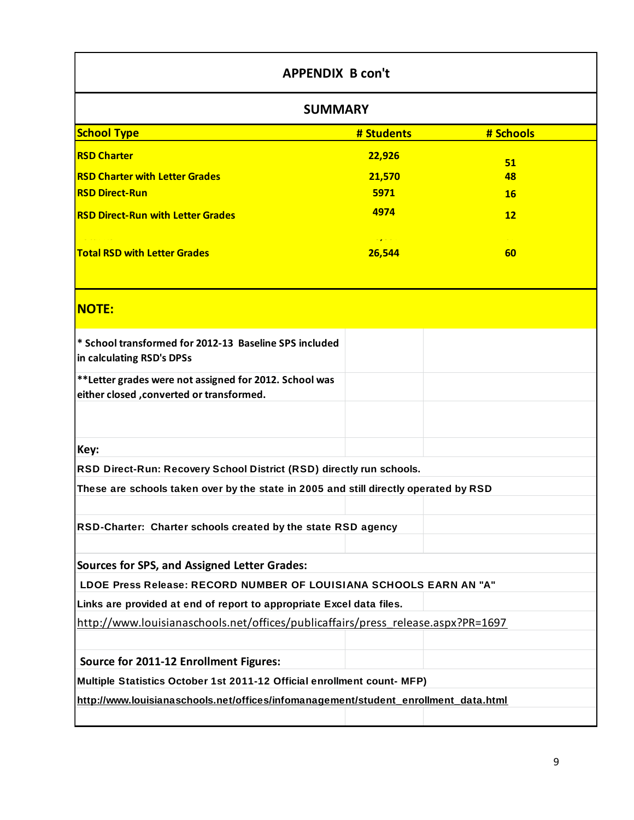| <b>APPENDIX B con't</b>                                                                             |            |           |  |  |  |  |
|-----------------------------------------------------------------------------------------------------|------------|-----------|--|--|--|--|
| <b>SUMMARY</b>                                                                                      |            |           |  |  |  |  |
| <b>School Type</b>                                                                                  | # Students | # Schools |  |  |  |  |
| <b>RSD Charter</b>                                                                                  | 22,926     | 51        |  |  |  |  |
| <b>RSD Charter with Letter Grades</b>                                                               | 21,570     | 48        |  |  |  |  |
| <b>RSD Direct-Run</b>                                                                               | 5971       | <b>16</b> |  |  |  |  |
| <b>RSD Direct-Run with Letter Grades</b>                                                            | 4974       | 12        |  |  |  |  |
| <b>Total RSD with Letter Grades</b><br>26,544<br>60                                                 |            |           |  |  |  |  |
| <b>NOTE:</b>                                                                                        |            |           |  |  |  |  |
| * School transformed for 2012-13 Baseline SPS included<br>in calculating RSD's DPSs                 |            |           |  |  |  |  |
| **Letter grades were not assigned for 2012. School was<br>either closed , converted or transformed. |            |           |  |  |  |  |
|                                                                                                     |            |           |  |  |  |  |
| Key:                                                                                                |            |           |  |  |  |  |
| RSD Direct-Run: Recovery School District (RSD) directly run schools.                                |            |           |  |  |  |  |
| These are schools taken over by the state in 2005 and still directly operated by RSD                |            |           |  |  |  |  |
| RSD-Charter: Charter schools created by the state RSD agency                                        |            |           |  |  |  |  |
|                                                                                                     |            |           |  |  |  |  |
| <b>Sources for SPS, and Assigned Letter Grades:</b>                                                 |            |           |  |  |  |  |
| LDOE Press Release: RECORD NUMBER OF LOUISIANA SCHOOLS EARN AN "A"                                  |            |           |  |  |  |  |
| Links are provided at end of report to appropriate Excel data files.                                |            |           |  |  |  |  |
| http://www.louisianaschools.net/offices/publicaffairs/press release.aspx?PR=1697                    |            |           |  |  |  |  |
|                                                                                                     |            |           |  |  |  |  |
| Source for 2011-12 Enrollment Figures:                                                              |            |           |  |  |  |  |
| Multiple Statistics October 1st 2011-12 Official enrollment count- MFP)                             |            |           |  |  |  |  |
| http://www.louisianaschools.net/offices/infomanagement/student_enrollment_data.html                 |            |           |  |  |  |  |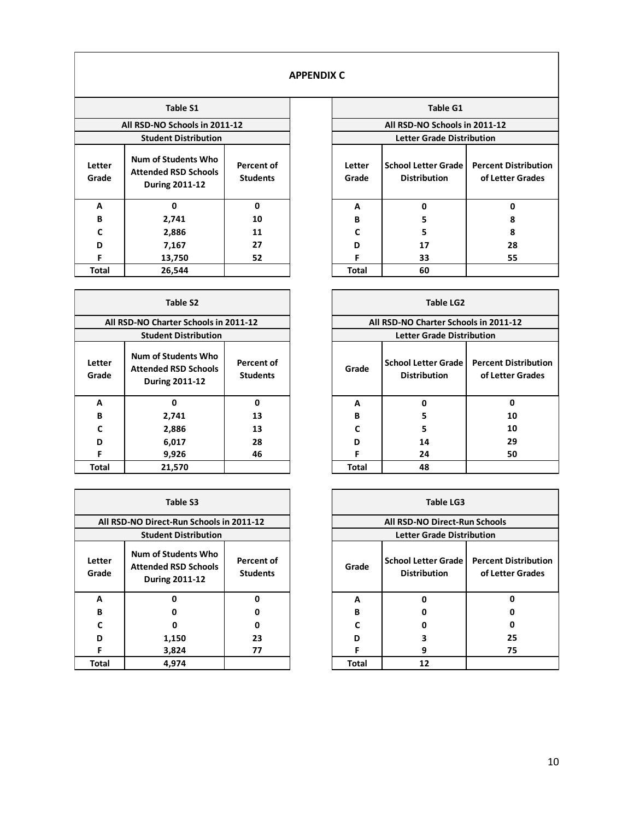#### **APPENDIX C**

|                 | <b>Table S1</b>                                                      |                               | <b>Table G1</b> |                                                   |                                    |
|-----------------|----------------------------------------------------------------------|-------------------------------|-----------------|---------------------------------------------------|------------------------------------|
|                 | All RSD-NO Schools in 2011-12                                        |                               |                 | All RSD-NO Schools in 2011-12                     |                                    |
|                 | <b>Student Distribution</b>                                          |                               |                 | <b>Letter Grade Distribution</b>                  |                                    |
| Letter<br>Grade | Num of Students Who<br><b>Attended RSD Schools</b><br>During 2011-12 | Percent of<br><b>Students</b> | Letter<br>Grade | <b>School Letter Grade</b><br><b>Distribution</b> | <b>Percent Dist</b><br>of Letter 0 |
| A               | 0                                                                    | $\mathbf{0}$                  | A               | O                                                 | 0                                  |
| B               | 2,741                                                                | 10                            | B               | 5                                                 | 8                                  |
| C               | 2,886                                                                | 11                            | C               | 5                                                 | 8                                  |
| D               | 7,167                                                                | 27                            | D               | 17                                                | 28                                 |
| F               | 13,750                                                               | 52                            | F               | 33                                                | 55                                 |
| <b>Total</b>    | 26,544                                                               |                               | <b>Total</b>    | 60                                                |                                    |

|                 | <b>Table S2</b>                                                             |                               |              | <b>Table LG2</b>                                  |                                    |
|-----------------|-----------------------------------------------------------------------------|-------------------------------|--------------|---------------------------------------------------|------------------------------------|
|                 | All RSD-NO Charter Schools in 2011-12                                       |                               |              | All RSD-NO Charter Schools in 2011-12             |                                    |
|                 | <b>Student Distribution</b>                                                 |                               |              | <b>Letter Grade Distribution</b>                  |                                    |
| Letter<br>Grade | Num of Students Who<br><b>Attended RSD Schools</b><br><b>During 2011-12</b> | Percent of<br><b>Students</b> | Grade        | <b>School Letter Grade</b><br><b>Distribution</b> | <b>Percent Dist</b><br>of Letter ( |
| A               | 0                                                                           | 0                             | A            | 0                                                 | 0                                  |
| B               | 2,741                                                                       | 13                            | B            | 5                                                 | 10                                 |
| Ċ               | 2,886                                                                       | 13                            | C            | 5                                                 | 10                                 |
| D               | 6,017                                                                       | 28                            | D            | 14                                                | 29                                 |
| F               | 9,926                                                                       | 46                            | F            | 24                                                | 50                                 |
| <b>Total</b>    | 21,570                                                                      |                               | <b>Total</b> | 48                                                |                                    |

|                 | Table S3                                                             |                                      | <b>Table LG3</b> |                                                   |                                    |
|-----------------|----------------------------------------------------------------------|--------------------------------------|------------------|---------------------------------------------------|------------------------------------|
|                 | All RSD-NO Direct-Run Schools in 2011-12                             |                                      |                  | All RSD-NO Direct-Run Schools                     |                                    |
|                 | <b>Student Distribution</b>                                          |                                      |                  | <b>Letter Grade Distribution</b>                  |                                    |
| Letter<br>Grade | Num of Students Who<br><b>Attended RSD Schools</b><br>During 2011-12 | <b>Percent of</b><br><b>Students</b> | Grade            | <b>School Letter Grade</b><br><b>Distribution</b> | <b>Percent Dist</b><br>of Letter ( |
| A               | ŋ                                                                    | 0                                    | A                | ŋ                                                 | 0                                  |
| B               |                                                                      | 0                                    | B                |                                                   | 0                                  |
|                 |                                                                      | <sup>0</sup>                         | r                |                                                   | 0                                  |
| D               | 1,150                                                                | 23                                   | D                |                                                   | 25                                 |
| F               | 3,824                                                                | 77                                   | F                | 9                                                 | 75                                 |
| <b>Total</b>    | 4,974                                                                |                                      | <b>Total</b>     | 12                                                |                                    |

| Table S1                                         |                                      |  |                               | <b>Table G1</b>                                   |                                                 |  |  |  |
|--------------------------------------------------|--------------------------------------|--|-------------------------------|---------------------------------------------------|-------------------------------------------------|--|--|--|
| Schools in 2011-12                               |                                      |  | All RSD-NO Schools in 2011-12 |                                                   |                                                 |  |  |  |
| nt Distribution                                  |                                      |  |                               | <b>Letter Grade Distribution</b>                  |                                                 |  |  |  |
| tudents Who<br><b>I RSD Schools</b><br>g 2011-12 | <b>Percent of</b><br><b>Students</b> |  | Letter<br>Grade               | <b>School Letter Grade</b><br><b>Distribution</b> | <b>Percent Distribution</b><br>of Letter Grades |  |  |  |
| $\mathbf{0}$                                     | 0                                    |  | A                             | ŋ                                                 | 0                                               |  |  |  |
| 2,741                                            | 10                                   |  | B                             | 5                                                 | 8                                               |  |  |  |
| 2,886                                            | 11                                   |  | C                             | 5                                                 | 8                                               |  |  |  |
| 7,167                                            | 27                                   |  | D                             | 17                                                | 28                                              |  |  |  |
| 3,750                                            | 52                                   |  | F<br>55<br>33                 |                                                   |                                                 |  |  |  |
| 6,544                                            |                                      |  | <b>Total</b>                  | 60                                                |                                                 |  |  |  |

|             | $\pmb{0}$                                                                   | 0                             | Α            | 0                                                 | 0                                               |
|-------------|-----------------------------------------------------------------------------|-------------------------------|--------------|---------------------------------------------------|-------------------------------------------------|
| B           | 2,741                                                                       | 10                            | B            | 5                                                 | 8                                               |
| С           | 2,886                                                                       | 11                            | C            | 5                                                 | 8                                               |
| D           | 7,167                                                                       | 27                            | D            | 17                                                | 28                                              |
| F           | 13,750                                                                      | 52                            | F            | 33                                                | 55                                              |
| otal        | 26,544                                                                      |                               | <b>Total</b> | 60                                                |                                                 |
|             |                                                                             |                               |              |                                                   |                                                 |
|             | Table S2                                                                    |                               |              | <b>Table LG2</b>                                  |                                                 |
|             | All RSD-NO Charter Schools in 2011-12                                       |                               |              | All RSD-NO Charter Schools in 2011-12             |                                                 |
|             | <b>Student Distribution</b>                                                 |                               |              | <b>Letter Grade Distribution</b>                  |                                                 |
| tter<br>ade | Num of Students Who<br><b>Attended RSD Schools</b><br><b>During 2011-12</b> | Percent of<br><b>Students</b> | Grade        | School Letter Grade<br><b>Distribution</b>        | <b>Percent Distribution</b><br>of Letter Grades |
| А           | $\mathbf 0$                                                                 | 0                             | A            | $\mathbf 0$                                       | 0                                               |
| В           | 2,741                                                                       | 13                            | В            | 5                                                 | 10                                              |
| C           | 2,886                                                                       | 13                            | C            | 5                                                 | 10                                              |
| D           | 6,017                                                                       | 28                            | D            | 14                                                | 29                                              |
| F           | 9,926                                                                       | 46                            | F.           | 24                                                | 50                                              |
| otal        | 21,570                                                                      |                               | <b>Total</b> | 48                                                |                                                 |
|             |                                                                             |                               |              |                                                   |                                                 |
|             | Table S3                                                                    |                               |              | <b>Table LG3</b>                                  |                                                 |
|             |                                                                             |                               |              | All RSD-NO Direct-Run Schools                     |                                                 |
|             | All RSD-NO Direct-Run Schools in 2011-12                                    |                               |              |                                                   |                                                 |
|             | <b>Student Distribution</b>                                                 |                               |              | <b>Letter Grade Distribution</b>                  |                                                 |
| tter<br>ade | Num of Students Who<br><b>Attended RSD Schools</b><br><b>During 2011-12</b> | Percent of<br><b>Students</b> | Grade        | <b>School Letter Grade</b><br><b>Distribution</b> | <b>Percent Distribution</b><br>of Letter Grades |
| А           | $\mathbf 0$                                                                 | 0                             | A            | $\pmb{0}$                                         | 0                                               |
|             | 0                                                                           | 0                             | В            | 0                                                 | 0                                               |
| В<br>C      | $\mathbf 0$                                                                 | 0                             | C            | 0                                                 | 0                                               |
| D           | 1,150                                                                       | 23                            | D            | З                                                 | 25                                              |
|             | 3,824                                                                       | 77                            | F            | 9                                                 | 75                                              |
| F<br>otal   | 4,974                                                                       |                               | <b>Total</b> | 12                                                |                                                 |

|                       | <b>Table LG3</b>              |                                                   |                                                 |  |  |  |
|-----------------------|-------------------------------|---------------------------------------------------|-------------------------------------------------|--|--|--|
| 11-12                 | All RSD-NO Direct-Run Schools |                                                   |                                                 |  |  |  |
|                       |                               | <b>Letter Grade Distribution</b>                  |                                                 |  |  |  |
| ercent of<br>Students | Grade                         | <b>School Letter Grade</b><br><b>Distribution</b> | <b>Percent Distribution</b><br>of Letter Grades |  |  |  |
| U                     | A                             | ŋ                                                 | ŋ                                               |  |  |  |
| ŋ                     | B                             |                                                   |                                                 |  |  |  |
| U                     | r                             |                                                   |                                                 |  |  |  |
| 23                    | n                             | 3                                                 | 25                                              |  |  |  |
| 77                    |                               | 9                                                 | 75                                              |  |  |  |
|                       | <b>Total</b>                  | 12                                                |                                                 |  |  |  |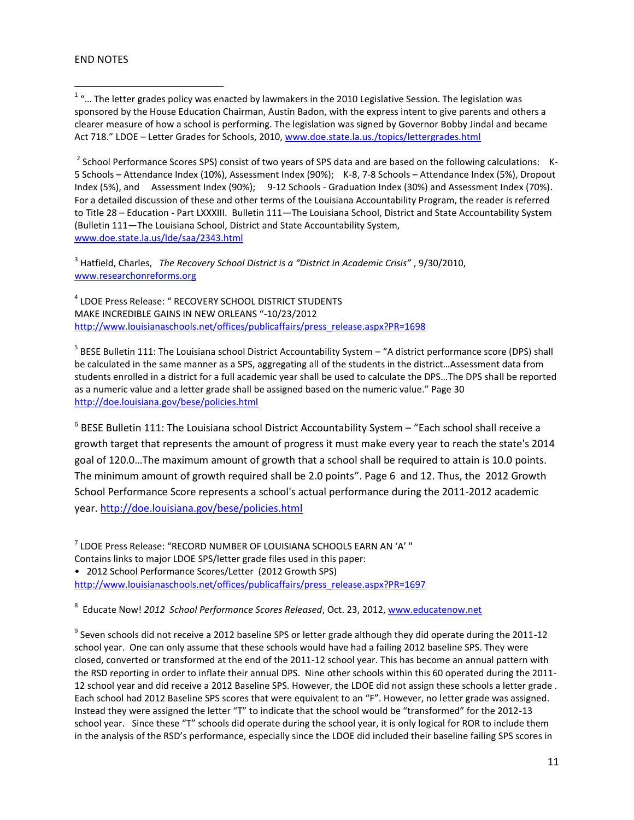#### END NOTES

 1 "… The letter grades policy was enacted by lawmakers in the 2010 Legislative Session. The legislation was sponsored by the House Education Chairman, Austin Badon, with the express intent to give parents and others a clearer measure of how a school is performing. The legislation was signed by Governor Bobby Jindal and became Act 718." LDOE – Letter Grades for Schools, 2010[, www.doe.state.la.us./topics/lettergrades.html](http://www.doe.state.la.us./topics/lettergrades.html)

<sup>2</sup> School Performance Scores SPS) consist of two years of SPS data and are based on the following calculations: K-5 Schools – Attendance Index (10%), Assessment Index (90%); K-8, 7-8 Schools – Attendance Index (5%), Dropout Index (5%), and Assessment Index (90%); 9-12 Schools - Graduation Index (30%) and Assessment Index (70%). For a detailed discussion of these and other terms of the Louisiana Accountability Program, the reader is referred to Title 28 – Education - Part LXXXIII. Bulletin 111—The Louisiana School, District and State Accountability System (Bulletin 111―The Louisiana School, District and State Accountability System, [www.doe.state.la.us/lde/saa/2343.html](http://www.doe.state.la.us/lde/saa/2343.html)

3 Hatfield, Charles, *The Recovery School District is a "District in Academic Crisis"* , 9/30/2010, [www.researchonreforms.org](http://www.researchonreforms.org/)

4 LDOE Press Release: " RECOVERY SCHOOL DISTRICT STUDENTS MAKE INCREDIBLE GAINS IN NEW ORLEANS "-10/23/2012 [http://www.louisianaschools.net/offices/publicaffairs/press\\_release.aspx?PR=1698](http://www.louisianaschools.net/offices/publicaffairs/press_release.aspx?PR=1698)

<sup>5</sup> BESE Bulletin 111: The Louisiana school District Accountability System – "A district performance score (DPS) shall be calculated in the same manner as a SPS, aggregating all of the students in the district…Assessment data from students enrolled in a district for a full academic year shall be used to calculate the DPS…The DPS shall be reported as a numeric value and a letter grade shall be assigned based on the numeric value." Page 30 <http://doe.louisiana.gov/bese/policies.html>

 $^6$  BESE Bulletin 111: The Louisiana school District Accountability System – "Each school shall receive a growth target that represents the amount of progress it must make every year to reach the state's 2014 goal of 120.0…The maximum amount of growth that a school shall be required to attain is 10.0 points. The minimum amount of growth required shall be 2.0 points". Page 6 and 12. Thus, the 2012 Growth School Performance Score represents a school's actual performance during the 2011-2012 academic year. <http://doe.louisiana.gov/bese/policies.html>

 $^7$  LDOE Press Release: "RECORD NUMBER OF LOUISIANA SCHOOLS EARN AN 'A' " Contains links to major LDOE SPS/letter grade files used in this paper:

• 2012 School Performance Scores/Letter (2012 Growth SPS) [http://www.louisianaschools.net/offices/publicaffairs/press\\_release.aspx?PR=1697](http://www.louisianaschools.net/offices/publicaffairs/press_release.aspx?PR=1697)

<sup>8</sup> Educate Now! 2012 School Performance Scores Released, Oct. 23, 2012, [www.educatenow.net](http://www.educatenow.net/)

 $^9$  Seven schools did not receive a 2012 baseline SPS or letter grade although they did operate during the 2011-12 school year. One can only assume that these schools would have had a failing 2012 baseline SPS. They were closed, converted or transformed at the end of the 2011-12 school year. This has become an annual pattern with the RSD reporting in order to inflate their annual DPS. Nine other schools within this 60 operated during the 2011- 12 school year and did receive a 2012 Baseline SPS. However, the LDOE did not assign these schools a letter grade . Each school had 2012 Baseline SPS scores that were equivalent to an "F". However, no letter grade was assigned. Instead they were assigned the letter "T" to indicate that the school would be "transformed" for the 2012-13 school year. Since these "T" schools did operate during the school year, it is only logical for ROR to include them in the analysis of the RSD's performance, especially since the LDOE did included their baseline failing SPS scores in